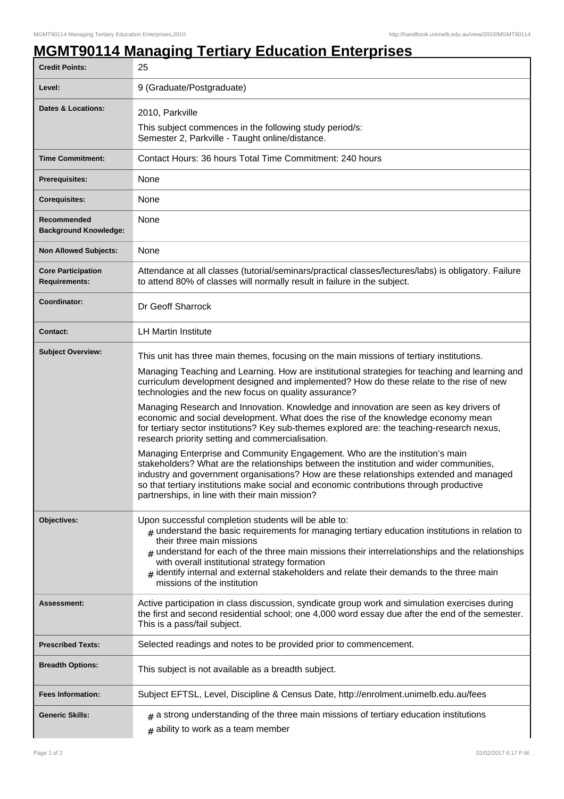## **MGMT90114 Managing Tertiary Education Enterprises**

| <b>Credit Points:</b>                             | 25                                                                                                                                                                                                                                                                                                                                                                                                                                                                        |
|---------------------------------------------------|---------------------------------------------------------------------------------------------------------------------------------------------------------------------------------------------------------------------------------------------------------------------------------------------------------------------------------------------------------------------------------------------------------------------------------------------------------------------------|
| Level:                                            | 9 (Graduate/Postgraduate)                                                                                                                                                                                                                                                                                                                                                                                                                                                 |
| <b>Dates &amp; Locations:</b>                     | 2010, Parkville                                                                                                                                                                                                                                                                                                                                                                                                                                                           |
|                                                   | This subject commences in the following study period/s:<br>Semester 2, Parkville - Taught online/distance.                                                                                                                                                                                                                                                                                                                                                                |
| <b>Time Commitment:</b>                           | Contact Hours: 36 hours Total Time Commitment: 240 hours                                                                                                                                                                                                                                                                                                                                                                                                                  |
| Prerequisites:                                    | None                                                                                                                                                                                                                                                                                                                                                                                                                                                                      |
| <b>Corequisites:</b>                              | None                                                                                                                                                                                                                                                                                                                                                                                                                                                                      |
| Recommended<br><b>Background Knowledge:</b>       | None                                                                                                                                                                                                                                                                                                                                                                                                                                                                      |
| <b>Non Allowed Subjects:</b>                      | None                                                                                                                                                                                                                                                                                                                                                                                                                                                                      |
| <b>Core Participation</b><br><b>Requirements:</b> | Attendance at all classes (tutorial/seminars/practical classes/lectures/labs) is obligatory. Failure<br>to attend 80% of classes will normally result in failure in the subject.                                                                                                                                                                                                                                                                                          |
| Coordinator:                                      | Dr Geoff Sharrock                                                                                                                                                                                                                                                                                                                                                                                                                                                         |
| <b>Contact:</b>                                   | <b>LH Martin Institute</b>                                                                                                                                                                                                                                                                                                                                                                                                                                                |
| <b>Subject Overview:</b>                          | This unit has three main themes, focusing on the main missions of tertiary institutions.                                                                                                                                                                                                                                                                                                                                                                                  |
|                                                   | Managing Teaching and Learning. How are institutional strategies for teaching and learning and<br>curriculum development designed and implemented? How do these relate to the rise of new<br>technologies and the new focus on quality assurance?                                                                                                                                                                                                                         |
|                                                   | Managing Research and Innovation. Knowledge and innovation are seen as key drivers of<br>economic and social development. What does the rise of the knowledge economy mean<br>for tertiary sector institutions? Key sub-themes explored are: the teaching-research nexus,<br>research priority setting and commercialisation.                                                                                                                                             |
|                                                   | Managing Enterprise and Community Engagement. Who are the institution's main<br>stakeholders? What are the relationships between the institution and wider communities,<br>industry and government organisations? How are these relationships extended and managed<br>so that tertiary institutions make social and economic contributions through productive<br>partnerships, in line with their main mission?                                                           |
| Objectives:                                       | Upon successful completion students will be able to:<br>$#$ understand the basic requirements for managing tertiary education institutions in relation to<br>their three main missions<br>understand for each of the three main missions their interrelationships and the relationships<br>with overall institutional strategy formation<br>$_{\#}$ identify internal and external stakeholders and relate their demands to the three main<br>missions of the institution |
| Assessment:                                       | Active participation in class discussion, syndicate group work and simulation exercises during<br>the first and second residential school; one 4,000 word essay due after the end of the semester.<br>This is a pass/fail subject.                                                                                                                                                                                                                                        |
| <b>Prescribed Texts:</b>                          | Selected readings and notes to be provided prior to commencement.                                                                                                                                                                                                                                                                                                                                                                                                         |
| <b>Breadth Options:</b>                           | This subject is not available as a breadth subject.                                                                                                                                                                                                                                                                                                                                                                                                                       |
| <b>Fees Information:</b>                          | Subject EFTSL, Level, Discipline & Census Date, http://enrolment.unimelb.edu.au/fees                                                                                                                                                                                                                                                                                                                                                                                      |
| <b>Generic Skills:</b>                            | $_{\text{\#}}$ a strong understanding of the three main missions of tertiary education institutions<br>$#$ ability to work as a team member                                                                                                                                                                                                                                                                                                                               |